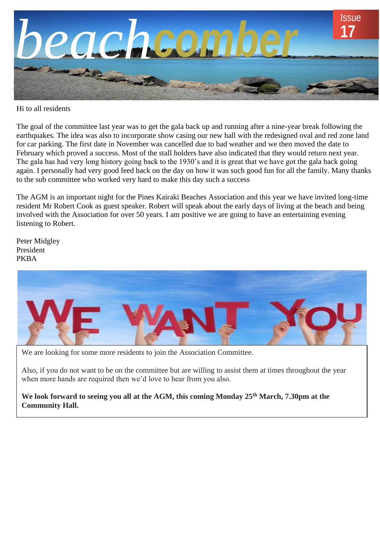

Hi to all residents

The goal of the committee last year was to get the gala back up and running after a nine-year break following the earthquakes. The idea was also to incorporate show casing our new hall with the redesigned oval and red zone land for car parking. The first date in November was cancelled due to bad weather and we then moved the date to February which proved a success. Most of the stall holders have also indicated that they would return next year. The gala has had very long history going back to the 1930's and it is great that we have got the gala back going again. I personally had very good feed back on the day on how it was such good fun for all the family. Many thanks to the sub committee who worked very hard to make this day such a success

The AGM is an important night for the Pines Kairaki Beaches Association and this year we have invited long-time resident Mr Robert Cook as guest speaker. Robert will speak about the early days of living at the beach and being involved with the Association for over 50 years. I am positive we are going to have an entertaining evening listening to Robert.

Peter Midgley President PKBA



We are looking for some more residents to join the Association Committee.

Also, if you do not want to be on the committee but are willing to assist them at times throughout the year when more hands are required then we'd love to hear from you also.

**We look forward to seeing you all at the AGM, this coming Monday 25th March, 7.30pm at the Community Hall.**